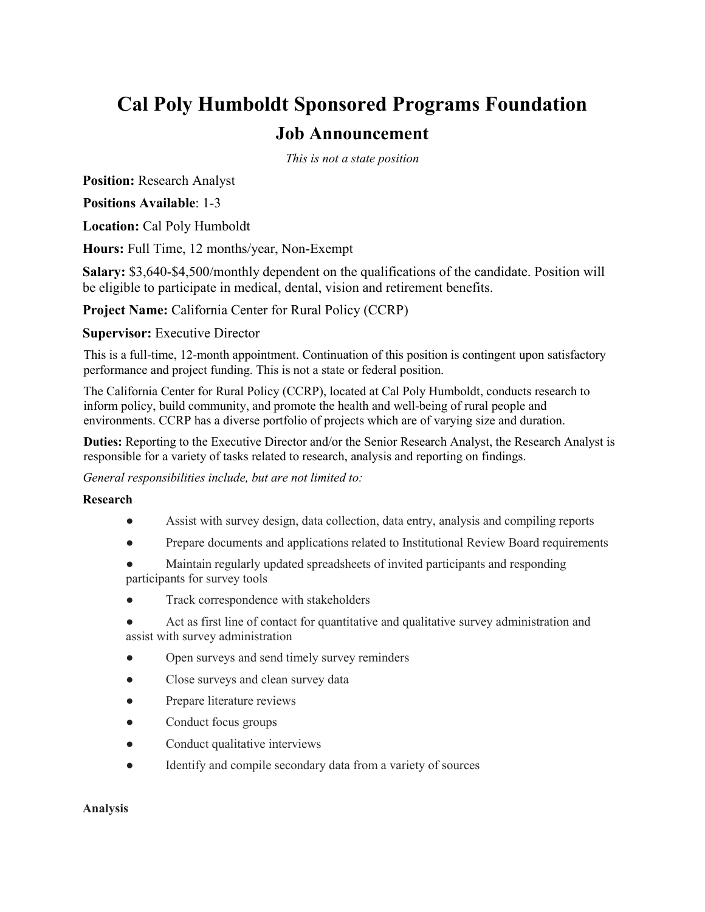# **Cal Poly Humboldt Sponsored Programs Foundation Job Announcement**

*This is not a state position*

**Position:** Research Analyst

**Positions Available**: 1-3

**Location:** Cal Poly Humboldt

**Hours:** Full Time, 12 months/year, Non-Exempt

**Salary:** \$3,640-\$4,500/monthly dependent on the qualifications of the candidate. Position will be eligible to participate in medical, dental, vision and retirement benefits.

**Project Name:** California Center for Rural Policy (CCRP)

### **Supervisor:** Executive Director

This is a full-time, 12-month appointment. Continuation of this position is contingent upon satisfactory performance and project funding. This is not a state or federal position.

The California Center for Rural Policy (CCRP), located at Cal Poly Humboldt, conducts research to inform policy, build community, and promote the health and well-being of rural people and environments. CCRP has a diverse portfolio of projects which are of varying size and duration.

**Duties:** Reporting to the Executive Director and/or the Senior Research Analyst, the Research Analyst is responsible for a variety of tasks related to research, analysis and reporting on findings.

*General responsibilities include, but are not limited to:*

#### **Research**

- Assist with survey design, data collection, data entry, analysis and compiling reports
- Prepare documents and applications related to Institutional Review Board requirements
- Maintain regularly updated spreadsheets of invited participants and responding participants for survey tools
- Track correspondence with stakeholders
- Act as first line of contact for quantitative and qualitative survey administration and assist with survey administration
- Open surveys and send timely survey reminders
- Close surveys and clean survey data
- Prepare literature reviews
- Conduct focus groups
- Conduct qualitative interviews
- Identify and compile secondary data from a variety of sources

#### **Analysis**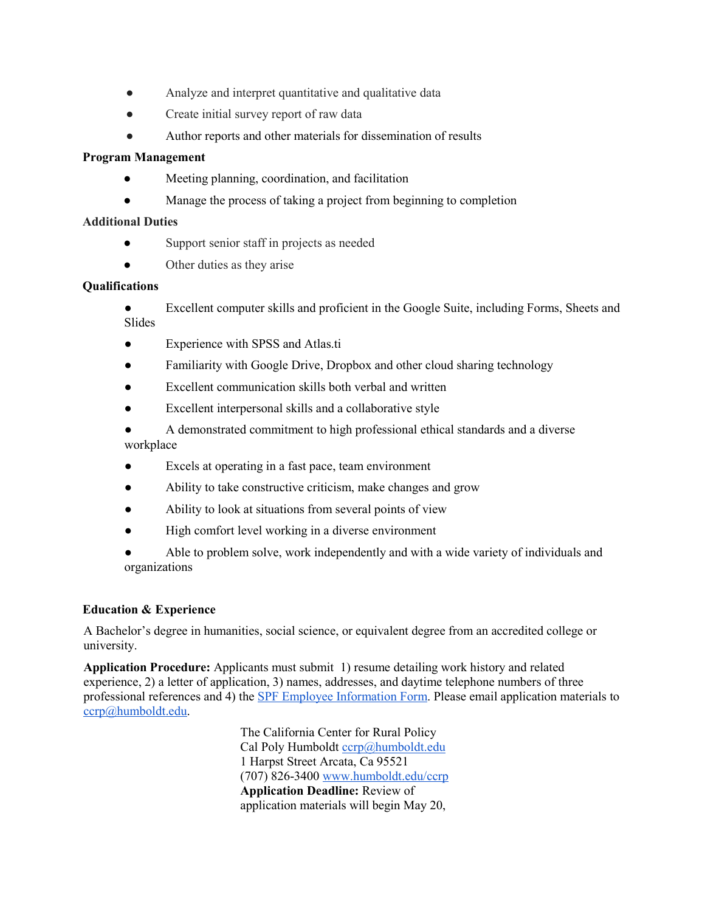- Analyze and interpret quantitative and qualitative data
- Create initial survey report of raw data
- Author reports and other materials for dissemination of results

## **Program Management**

- Meeting planning, coordination, and facilitation
- Manage the process of taking a project from beginning to completion

## **Additional Duties**

- Support senior staff in projects as needed
- Other duties as they arise

### **Qualifications**

- Excellent computer skills and proficient in the Google Suite, including Forms, Sheets and Slides
- Experience with SPSS and Atlas.ti
- Familiarity with Google Drive, Dropbox and other cloud sharing technology
- Excellent communication skills both verbal and written
- Excellent interpersonal skills and a collaborative style
- A demonstrated commitment to high professional ethical standards and a diverse workplace
- Excels at operating in a fast pace, team environment
- Ability to take constructive criticism, make changes and grow
- Ability to look at situations from several points of view
- High comfort level working in a diverse environment
- Able to problem solve, work independently and with a wide variety of individuals and organizations

# **Education & Experience**

A Bachelor's degree in humanities, social science, or equivalent degree from an accredited college or university.

**Application Procedure:** Applicants must submit 1) resume detailing work history and related experience, 2) a letter of application, 3) names, addresses, and daytime telephone numbers of three professional references and 4) th[e SPF Employee](https://forms.humboldt.edu/spf-self-identification-form-job-applicants-eif-pre-offer) [Information Form.](https://forms.humboldt.edu/spf-self-identification-form-job-applicants-eif-pre-offer) Please email application materials to ccrp@humboldt.edu.

> The California Center for Rural Policy Cal Poly Humboldt ccrp@humboldt.edu 1 Harpst Street Arcata, Ca 95521 (707) 826-3400 [www.humboldt.edu/ccrp](http://www.humboldt.edu/ccrp)  **Application Deadline:** Review of application materials will begin May 20,